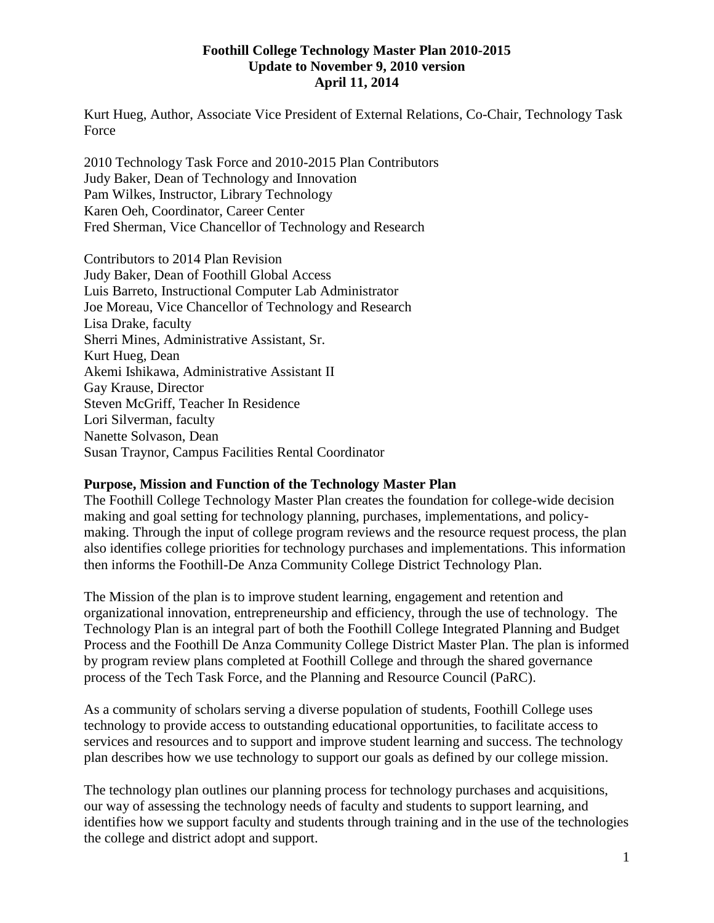#### **Foothill College Technology Master Plan 2010-2015 Update to November 9, 2010 version April 11, 2014**

Kurt Hueg, Author, Associate Vice President of External Relations, Co-Chair, Technology Task Force

2010 Technology Task Force and 2010-2015 Plan Contributors Judy Baker, Dean of Technology and Innovation Pam Wilkes, Instructor, Library Technology Karen Oeh, Coordinator, Career Center Fred Sherman, Vice Chancellor of Technology and Research

Contributors to 2014 Plan Revision Judy Baker, Dean of Foothill Global Access Luis Barreto, Instructional Computer Lab Administrator Joe Moreau, Vice Chancellor of Technology and Research Lisa Drake, faculty Sherri Mines, Administrative Assistant, Sr. Kurt Hueg, Dean Akemi Ishikawa, Administrative Assistant II Gay Krause, Director Steven McGriff, Teacher In Residence Lori Silverman, faculty Nanette Solvason, Dean Susan Traynor, Campus Facilities Rental Coordinator

#### **Purpose, Mission and Function of the Technology Master Plan**

The Foothill College Technology Master Plan creates the foundation for college-wide decision making and goal setting for technology planning, purchases, implementations, and policymaking. Through the input of college program reviews and the resource request process, the plan also identifies college priorities for technology purchases and implementations. This information then informs the Foothill-De Anza Community College District Technology Plan.

The Mission of the plan is to improve student learning, engagement and retention and organizational innovation, entrepreneurship and efficiency, through the use of technology. The Technology Plan is an integral part of both the Foothill College Integrated Planning and Budget Process and the Foothill De Anza Community College District Master Plan. The plan is informed by program review plans completed at Foothill College and through the shared governance process of the Tech Task Force, and the Planning and Resource Council (PaRC).

As a community of scholars serving a diverse population of students, Foothill College uses technology to provide access to outstanding educational opportunities, to facilitate access to services and resources and to support and improve student learning and success. The technology plan describes how we use technology to support our goals as defined by our college mission.

The technology plan outlines our planning process for technology purchases and acquisitions, our way of assessing the technology needs of faculty and students to support learning, and identifies how we support faculty and students through training and in the use of the technologies the college and district adopt and support.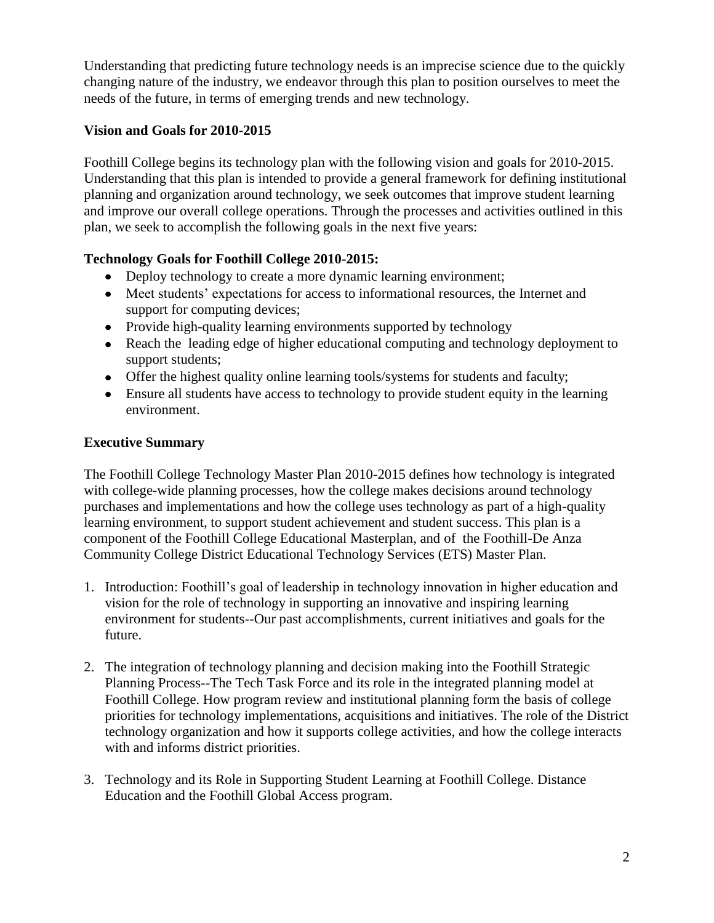Understanding that predicting future technology needs is an imprecise science due to the quickly changing nature of the industry, we endeavor through this plan to position ourselves to meet the needs of the future, in terms of emerging trends and new technology.

# **Vision and Goals for 2010-2015**

Foothill College begins its technology plan with the following vision and goals for 2010-2015. Understanding that this plan is intended to provide a general framework for defining institutional planning and organization around technology, we seek outcomes that improve student learning and improve our overall college operations. Through the processes and activities outlined in this plan, we seek to accomplish the following goals in the next five years:

# **Technology Goals for Foothill College 2010-2015:**

- Deploy technology to create a more dynamic learning environment;
- Meet students' expectations for access to informational resources, the Internet and support for computing devices;
- Provide high-quality learning environments supported by technology
- Reach the leading edge of higher educational computing and technology deployment to support students;
- Offer the highest quality online learning tools/systems for students and faculty;
- Ensure all students have access to technology to provide student equity in the learning environment.

# **Executive Summary**

The Foothill College Technology Master Plan 2010-2015 defines how technology is integrated with college-wide planning processes, how the college makes decisions around technology purchases and implementations and how the college uses technology as part of a high-quality learning environment, to support student achievement and student success. This plan is a component of the Foothill College Educational Masterplan, and of the Foothill-De Anza Community College District Educational Technology Services (ETS) Master Plan.

- 1. Introduction: Foothill's goal of leadership in technology innovation in higher education and vision for the role of technology in supporting an innovative and inspiring learning environment for students--Our past accomplishments, current initiatives and goals for the future.
- 2. The integration of technology planning and decision making into the Foothill Strategic Planning Process--The Tech Task Force and its role in the integrated planning model at Foothill College. How program review and institutional planning form the basis of college priorities for technology implementations, acquisitions and initiatives. The role of the District technology organization and how it supports college activities, and how the college interacts with and informs district priorities.
- 3. Technology and its Role in Supporting Student Learning at Foothill College. Distance Education and the Foothill Global Access program.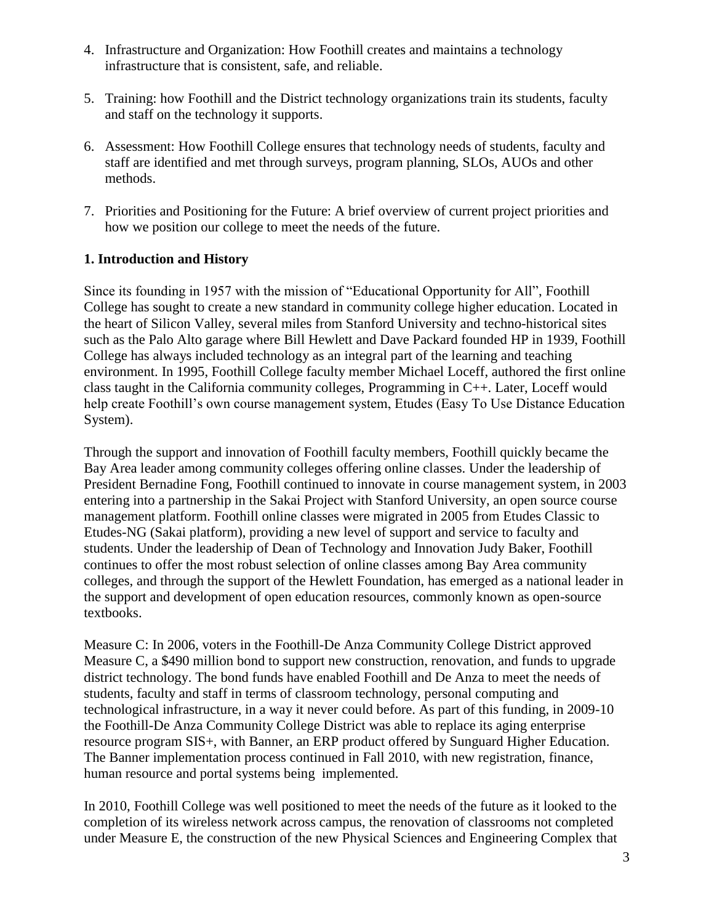- 4. Infrastructure and Organization: How Foothill creates and maintains a technology infrastructure that is consistent, safe, and reliable.
- 5. Training: how Foothill and the District technology organizations train its students, faculty and staff on the technology it supports.
- 6. Assessment: How Foothill College ensures that technology needs of students, faculty and staff are identified and met through surveys, program planning, SLOs, AUOs and other methods.
- 7. Priorities and Positioning for the Future: A brief overview of current project priorities and how we position our college to meet the needs of the future.

# **1. Introduction and History**

Since its founding in 1957 with the mission of "Educational Opportunity for All", Foothill College has sought to create a new standard in community college higher education. Located in the heart of Silicon Valley, several miles from Stanford University and techno-historical sites such as the Palo Alto garage where Bill Hewlett and Dave Packard founded HP in 1939, Foothill College has always included technology as an integral part of the learning and teaching environment. In 1995, Foothill College faculty member Michael Loceff, authored the first online class taught in the California community colleges, Programming in C++. Later, Loceff would help create Foothill's own course management system, Etudes (Easy To Use Distance Education System).

Through the support and innovation of Foothill faculty members, Foothill quickly became the Bay Area leader among community colleges offering online classes. Under the leadership of President Bernadine Fong, Foothill continued to innovate in course management system, in 2003 entering into a partnership in the Sakai Project with Stanford University, an open source course management platform. Foothill online classes were migrated in 2005 from Etudes Classic to Etudes-NG (Sakai platform), providing a new level of support and service to faculty and students. Under the leadership of Dean of Technology and Innovation Judy Baker, Foothill continues to offer the most robust selection of online classes among Bay Area community colleges, and through the support of the Hewlett Foundation, has emerged as a national leader in the support and development of open education resources, commonly known as open-source textbooks.

Measure C: In 2006, voters in the Foothill-De Anza Community College District approved Measure C, a \$490 million bond to support new construction, renovation, and funds to upgrade district technology. The bond funds have enabled Foothill and De Anza to meet the needs of students, faculty and staff in terms of classroom technology, personal computing and technological infrastructure, in a way it never could before. As part of this funding, in 2009-10 the Foothill-De Anza Community College District was able to replace its aging enterprise resource program SIS+, with Banner, an ERP product offered by Sunguard Higher Education. The Banner implementation process continued in Fall 2010, with new registration, finance, human resource and portal systems being implemented.

In 2010, Foothill College was well positioned to meet the needs of the future as it looked to the completion of its wireless network across campus, the renovation of classrooms not completed under Measure E, the construction of the new Physical Sciences and Engineering Complex that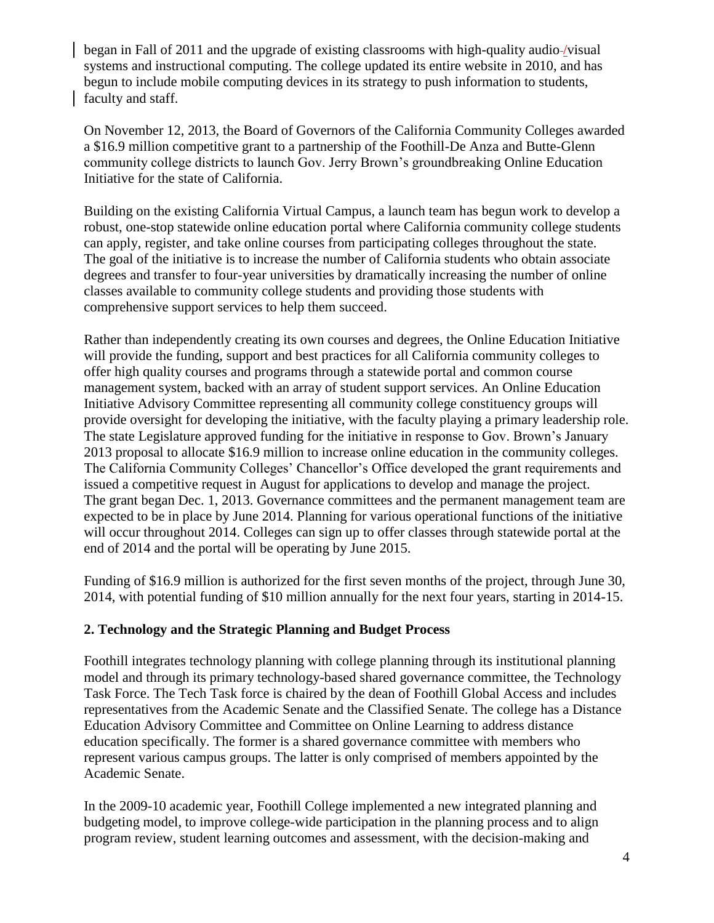began in Fall of 2011 and the upgrade of existing classrooms with high-quality audio-/visual systems and instructional computing. The college updated its entire website in 2010, and has begun to include mobile computing devices in its strategy to push information to students, faculty and staff.

On November 12, 2013, the Board of Governors of the California Community Colleges awarded a \$16.9 million competitive grant to a partnership of the Foothill-De Anza and Butte-Glenn community college districts to launch Gov. Jerry Brown's groundbreaking Online Education Initiative for the state of California.

Building on the existing California Virtual Campus, a launch team has begun work to develop a robust, one-stop statewide online education portal where California community college students can apply, register, and take online courses from participating colleges throughout the state. The goal of the initiative is to increase the number of California students who obtain associate degrees and transfer to four-year universities by dramatically increasing the number of online classes available to community college students and providing those students with comprehensive support services to help them succeed.

Rather than independently creating its own courses and degrees, the Online Education Initiative will provide the funding, support and best practices for all California community colleges to offer high quality courses and programs through a statewide portal and common course management system, backed with an array of student support services. An Online Education Initiative Advisory Committee representing all community college constituency groups will provide oversight for developing the initiative, with the faculty playing a primary leadership role. The state Legislature approved funding for the initiative in response to Gov. Brown's January 2013 proposal to allocate \$16.9 million to increase online education in the community colleges. The California Community Colleges' Chancellor's Office developed the grant requirements and issued a competitive request in August for applications to develop and manage the project. The grant began Dec. 1, 2013. Governance committees and the permanent management team are expected to be in place by June 2014. Planning for various operational functions of the initiative will occur throughout 2014. Colleges can sign up to offer classes through statewide portal at the end of 2014 and the portal will be operating by June 2015.

Funding of \$16.9 million is authorized for the first seven months of the project, through June 30, 2014, with potential funding of \$10 million annually for the next four years, starting in 2014-15.

### **2. Technology and the Strategic Planning and Budget Process**

Foothill integrates technology planning with college planning through its institutional planning model and through its primary technology-based shared governance committee, the Technology Task Force. The Tech Task force is chaired by the dean of Foothill Global Access and includes representatives from the Academic Senate and the Classified Senate. The college has a Distance Education Advisory Committee and Committee on Online Learning to address distance education specifically. The former is a shared governance committee with members who represent various campus groups. The latter is only comprised of members appointed by the Academic Senate.

In the 2009-10 academic year, Foothill College implemented a new integrated planning and budgeting model, to improve college-wide participation in the planning process and to align program review, student learning outcomes and assessment, with the decision-making and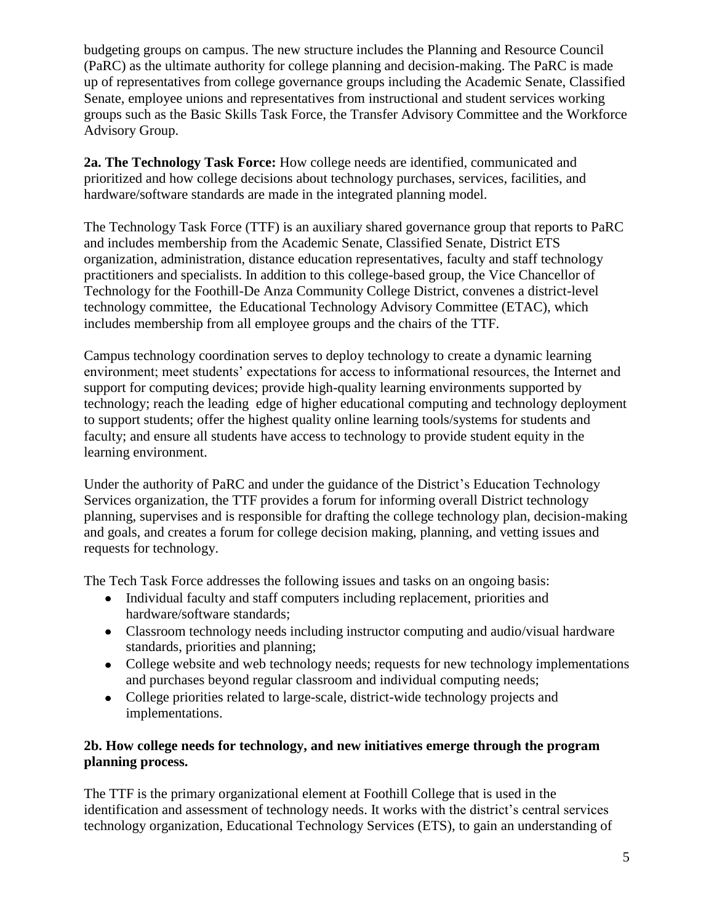budgeting groups on campus. The new structure includes the Planning and Resource Council (PaRC) as the ultimate authority for college planning and decision-making. The PaRC is made up of representatives from college governance groups including the Academic Senate, Classified Senate, employee unions and representatives from instructional and student services working groups such as the Basic Skills Task Force, the Transfer Advisory Committee and the Workforce Advisory Group.

**2a. The Technology Task Force:** How college needs are identified, communicated and prioritized and how college decisions about technology purchases, services, facilities, and hardware/software standards are made in the integrated planning model.

The Technology Task Force (TTF) is an auxiliary shared governance group that reports to PaRC and includes membership from the Academic Senate, Classified Senate, District ETS organization, administration, distance education representatives, faculty and staff technology practitioners and specialists. In addition to this college-based group, the Vice Chancellor of Technology for the Foothill-De Anza Community College District, convenes a district-level technology committee, the Educational Technology Advisory Committee (ETAC), which includes membership from all employee groups and the chairs of the TTF.

Campus technology coordination serves to deploy technology to create a dynamic learning environment; meet students' expectations for access to informational resources, the Internet and support for computing devices; provide high-quality learning environments supported by technology; reach the leading edge of higher educational computing and technology deployment to support students; offer the highest quality online learning tools/systems for students and faculty; and ensure all students have access to technology to provide student equity in the learning environment.

Under the authority of PaRC and under the guidance of the District's Education Technology Services organization, the TTF provides a forum for informing overall District technology planning, supervises and is responsible for drafting the college technology plan, decision-making and goals, and creates a forum for college decision making, planning, and vetting issues and requests for technology.

The Tech Task Force addresses the following issues and tasks on an ongoing basis:

- Individual faculty and staff computers including replacement, priorities and hardware/software standards;
- Classroom technology needs including instructor computing and audio/visual hardware standards, priorities and planning;
- College website and web technology needs; requests for new technology implementations and purchases beyond regular classroom and individual computing needs;
- College priorities related to large-scale, district-wide technology projects and implementations.

# **2b. How college needs for technology, and new initiatives emerge through the program planning process.**

The TTF is the primary organizational element at Foothill College that is used in the identification and assessment of technology needs. It works with the district's central services technology organization, Educational Technology Services (ETS), to gain an understanding of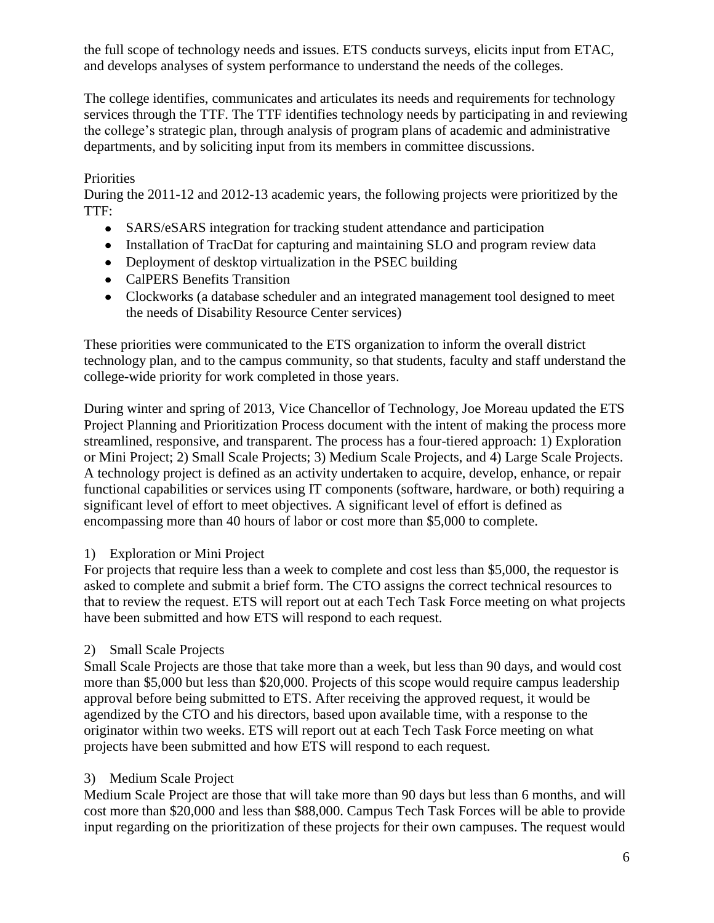the full scope of technology needs and issues. ETS conducts surveys, elicits input from ETAC, and develops analyses of system performance to understand the needs of the colleges.

The college identifies, communicates and articulates its needs and requirements for technology services through the TTF. The TTF identifies technology needs by participating in and reviewing the college's strategic plan, through analysis of program plans of academic and administrative departments, and by soliciting input from its members in committee discussions.

### Priorities

During the 2011-12 and 2012-13 academic years, the following projects were prioritized by the TTF:

- SARS/eSARS integration for tracking student attendance and participation
- Installation of TracDat for capturing and maintaining SLO and program review data
- Deployment of desktop virtualization in the PSEC building
- CalPERS Benefits Transition
- Clockworks (a database scheduler and an integrated management tool designed to meet the needs of Disability Resource Center services)

These priorities were communicated to the ETS organization to inform the overall district technology plan, and to the campus community, so that students, faculty and staff understand the college-wide priority for work completed in those years.

During winter and spring of 2013, Vice Chancellor of Technology, Joe Moreau updated the ETS Project Planning and Prioritization Process document with the intent of making the process more streamlined, responsive, and transparent. The process has a four-tiered approach: 1) Exploration or Mini Project; 2) Small Scale Projects; 3) Medium Scale Projects, and 4) Large Scale Projects. A technology project is defined as an activity undertaken to acquire, develop, enhance, or repair functional capabilities or services using IT components (software, hardware, or both) requiring a significant level of effort to meet objectives. A significant level of effort is defined as encompassing more than 40 hours of labor or cost more than \$5,000 to complete.

# 1) Exploration or Mini Project

For projects that require less than a week to complete and cost less than \$5,000, the requestor is asked to complete and submit a brief form. The CTO assigns the correct technical resources to that to review the request. ETS will report out at each Tech Task Force meeting on what projects have been submitted and how ETS will respond to each request.

# 2) Small Scale Projects

Small Scale Projects are those that take more than a week, but less than 90 days, and would cost more than \$5,000 but less than \$20,000. Projects of this scope would require campus leadership approval before being submitted to ETS. After receiving the approved request, it would be agendized by the CTO and his directors, based upon available time, with a response to the originator within two weeks. ETS will report out at each Tech Task Force meeting on what projects have been submitted and how ETS will respond to each request.

# 3) Medium Scale Project

Medium Scale Project are those that will take more than 90 days but less than 6 months, and will cost more than \$20,000 and less than \$88,000. Campus Tech Task Forces will be able to provide input regarding on the prioritization of these projects for their own campuses. The request would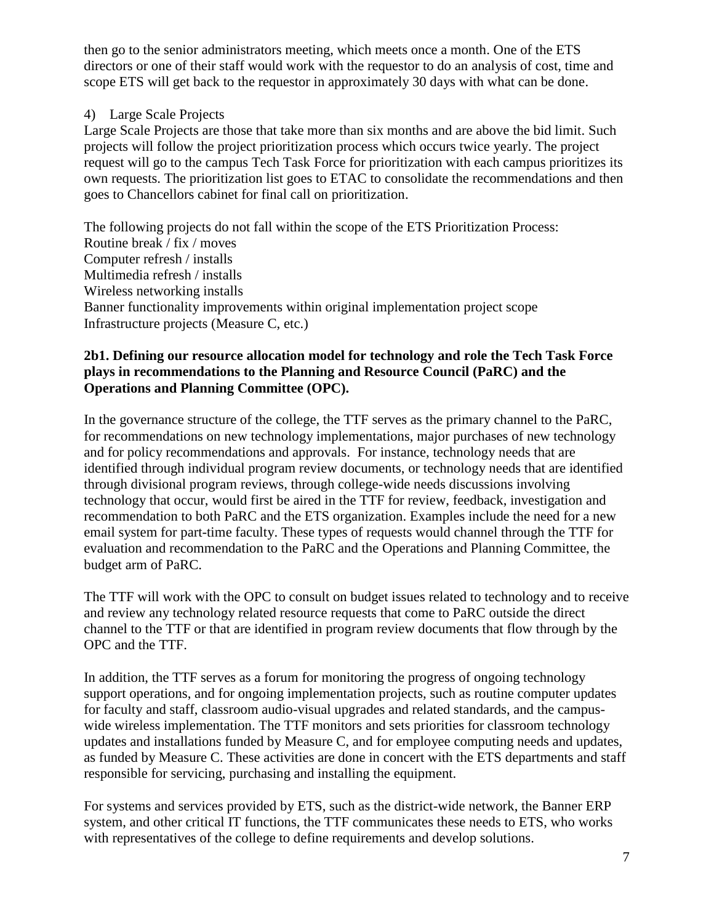then go to the senior administrators meeting, which meets once a month. One of the ETS directors or one of their staff would work with the requestor to do an analysis of cost, time and scope ETS will get back to the requestor in approximately 30 days with what can be done.

### 4) Large Scale Projects

Large Scale Projects are those that take more than six months and are above the bid limit. Such projects will follow the project prioritization process which occurs twice yearly. The project request will go to the campus Tech Task Force for prioritization with each campus prioritizes its own requests. The prioritization list goes to ETAC to consolidate the recommendations and then goes to Chancellors cabinet for final call on prioritization.

The following projects do not fall within the scope of the ETS Prioritization Process: Routine break / fix / moves Computer refresh / installs Multimedia refresh / installs Wireless networking installs Banner functionality improvements within original implementation project scope Infrastructure projects (Measure C, etc.)

### **2b1. Defining our resource allocation model for technology and role the Tech Task Force plays in recommendations to the Planning and Resource Council (PaRC) and the Operations and Planning Committee (OPC).**

In the governance structure of the college, the TTF serves as the primary channel to the PaRC, for recommendations on new technology implementations, major purchases of new technology and for policy recommendations and approvals. For instance, technology needs that are identified through individual program review documents, or technology needs that are identified through divisional program reviews, through college-wide needs discussions involving technology that occur, would first be aired in the TTF for review, feedback, investigation and recommendation to both PaRC and the ETS organization. Examples include the need for a new email system for part-time faculty. These types of requests would channel through the TTF for evaluation and recommendation to the PaRC and the Operations and Planning Committee, the budget arm of PaRC.

The TTF will work with the OPC to consult on budget issues related to technology and to receive and review any technology related resource requests that come to PaRC outside the direct channel to the TTF or that are identified in program review documents that flow through by the OPC and the TTF.

In addition, the TTF serves as a forum for monitoring the progress of ongoing technology support operations, and for ongoing implementation projects, such as routine computer updates for faculty and staff, classroom audio-visual upgrades and related standards, and the campuswide wireless implementation. The TTF monitors and sets priorities for classroom technology updates and installations funded by Measure C, and for employee computing needs and updates, as funded by Measure C. These activities are done in concert with the ETS departments and staff responsible for servicing, purchasing and installing the equipment.

For systems and services provided by ETS, such as the district-wide network, the Banner ERP system, and other critical IT functions, the TTF communicates these needs to ETS, who works with representatives of the college to define requirements and develop solutions.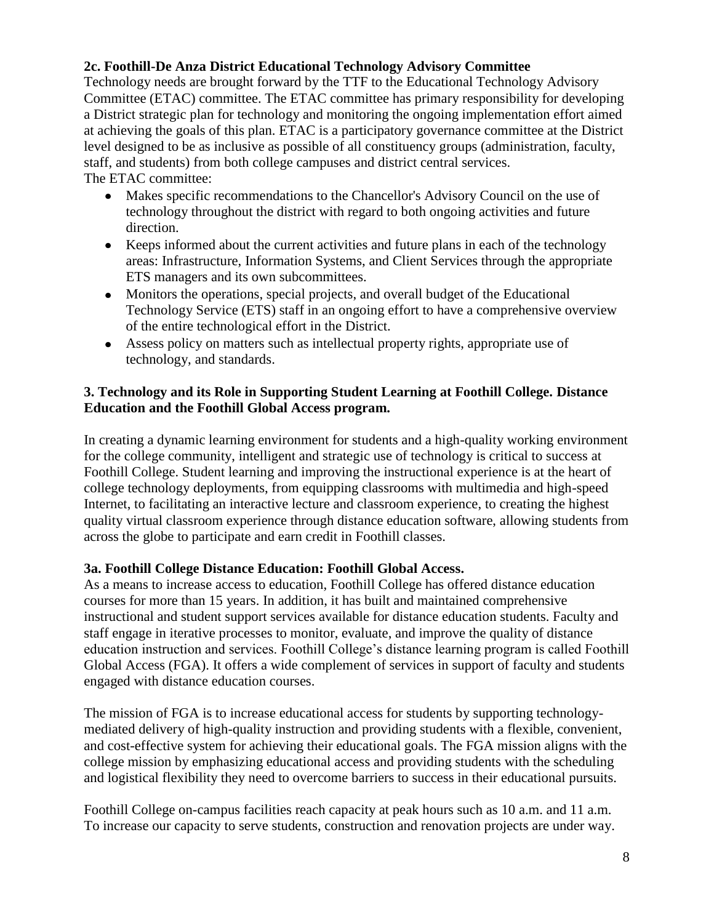### **2c. Foothill-De Anza District Educational Technology Advisory Committee**

Technology needs are brought forward by the TTF to the Educational Technology Advisory Committee (ETAC) committee. The ETAC committee has primary responsibility for developing a District strategic plan for technology and monitoring the ongoing implementation effort aimed at achieving the goals of this plan. ETAC is a participatory governance committee at the District level designed to be as inclusive as possible of all constituency groups (administration, faculty, staff, and students) from both college campuses and district central services.

The ETAC committee:

- Makes specific recommendations to the Chancellor's Advisory Council on the use of technology throughout the district with regard to both ongoing activities and future direction.
- Keeps informed about the current activities and future plans in each of the technology areas: Infrastructure, Information Systems, and Client Services through the appropriate ETS managers and its own subcommittees.
- Monitors the operations, special projects, and overall budget of the Educational Technology Service (ETS) staff in an ongoing effort to have a comprehensive overview of the entire technological effort in the District.
- Assess policy on matters such as intellectual property rights, appropriate use of technology, and standards.

### **3. Technology and its Role in Supporting Student Learning at Foothill College. Distance Education and the Foothill Global Access program.**

In creating a dynamic learning environment for students and a high-quality working environment for the college community, intelligent and strategic use of technology is critical to success at Foothill College. Student learning and improving the instructional experience is at the heart of college technology deployments, from equipping classrooms with multimedia and high-speed Internet, to facilitating an interactive lecture and classroom experience, to creating the highest quality virtual classroom experience through distance education software, allowing students from across the globe to participate and earn credit in Foothill classes.

### **3a. Foothill College Distance Education: Foothill Global Access.**

As a means to increase access to education, Foothill College has offered distance education courses for more than 15 years. In addition, it has built and maintained comprehensive instructional and student support services available for distance education students. Faculty and staff engage in iterative processes to monitor, evaluate, and improve the quality of distance education instruction and services. Foothill College's distance learning program is called Foothill Global Access (FGA). It offers a wide complement of services in support of faculty and students engaged with distance education courses.

The mission of FGA is to increase educational access for students by supporting technologymediated delivery of high-quality instruction and providing students with a flexible, convenient, and cost-effective system for achieving their educational goals. The FGA mission aligns with the college mission by emphasizing educational access and providing students with the scheduling and logistical flexibility they need to overcome barriers to success in their educational pursuits.

Foothill College on-campus facilities reach capacity at peak hours such as 10 a.m. and 11 a.m. To increase our capacity to serve students, construction and renovation projects are under way.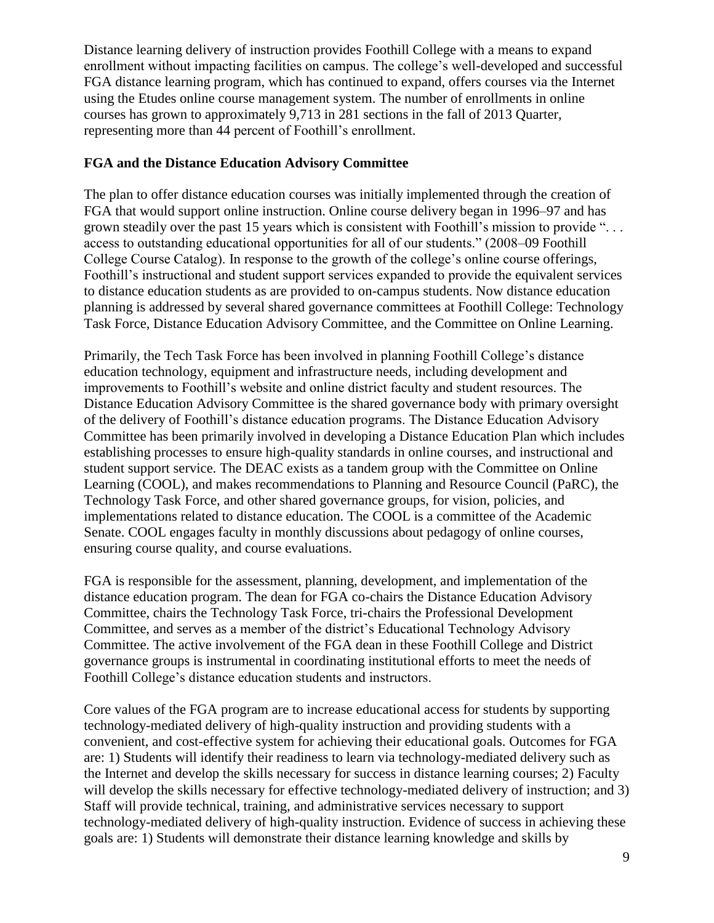Distance learning delivery of instruction provides Foothill College with a means to expand enrollment without impacting facilities on campus. The college's well-developed and successful FGA distance learning program, which has continued to expand, offers courses via the Internet using the Etudes online course management system. The number of enrollments in online courses has grown to approximately 9,713 in 281 sections in the fall of 2013 Quarter, representing more than 44 percent of Foothill's enrollment.

### **FGA and the Distance Education Advisory Committee**

The plan to offer distance education courses was initially implemented through the creation of FGA that would support online instruction. Online course delivery began in 1996–97 and has grown steadily over the past 15 years which is consistent with Foothill's mission to provide ". . . access to outstanding educational opportunities for all of our students." (2008–09 Foothill College Course Catalog). In response to the growth of the college's online course offerings, Foothill's instructional and student support services expanded to provide the equivalent services to distance education students as are provided to on-campus students. Now distance education planning is addressed by several shared governance committees at Foothill College: Technology Task Force, Distance Education Advisory Committee, and the Committee on Online Learning.

Primarily, the Tech Task Force has been involved in planning Foothill College's distance education technology, equipment and infrastructure needs, including development and improvements to Foothill's website and online district faculty and student resources. The Distance Education Advisory Committee is the shared governance body with primary oversight of the delivery of Foothill's distance education programs. The Distance Education Advisory Committee has been primarily involved in developing a Distance Education Plan which includes establishing processes to ensure high-quality standards in online courses, and instructional and student support service. The DEAC exists as a tandem group with the Committee on Online Learning (COOL), and makes recommendations to Planning and Resource Council (PaRC), the Technology Task Force, and other shared governance groups, for vision, policies, and implementations related to distance education. The COOL is a committee of the Academic Senate. COOL engages faculty in monthly discussions about pedagogy of online courses, ensuring course quality, and course evaluations.

FGA is responsible for the assessment, planning, development, and implementation of the distance education program. The dean for FGA co-chairs the Distance Education Advisory Committee, chairs the Technology Task Force, tri-chairs the Professional Development Committee, and serves as a member of the district's Educational Technology Advisory Committee. The active involvement of the FGA dean in these Foothill College and District governance groups is instrumental in coordinating institutional efforts to meet the needs of Foothill College's distance education students and instructors.

Core values of the FGA program are to increase educational access for students by supporting technology-mediated delivery of high-quality instruction and providing students with a convenient, and cost-effective system for achieving their educational goals. Outcomes for FGA are: 1) Students will identify their readiness to learn via technology-mediated delivery such as the Internet and develop the skills necessary for success in distance learning courses; 2) Faculty will develop the skills necessary for effective technology-mediated delivery of instruction; and 3) Staff will provide technical, training, and administrative services necessary to support technology-mediated delivery of high-quality instruction. Evidence of success in achieving these goals are: 1) Students will demonstrate their distance learning knowledge and skills by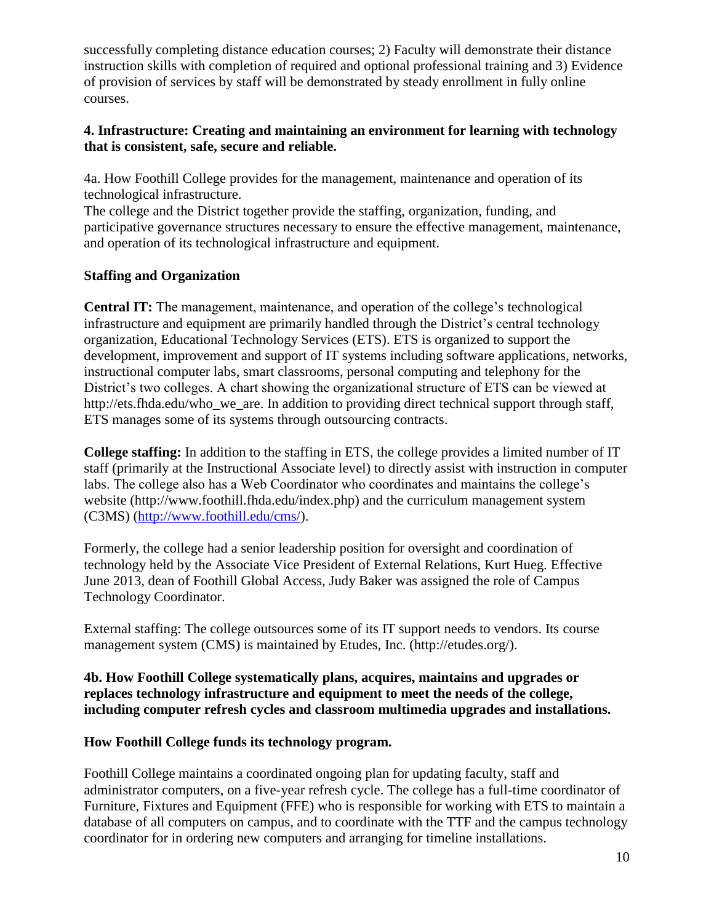successfully completing distance education courses; 2) Faculty will demonstrate their distance instruction skills with completion of required and optional professional training and 3) Evidence of provision of services by staff will be demonstrated by steady enrollment in fully online courses.

### **4. Infrastructure: Creating and maintaining an environment for learning with technology that is consistent, safe, secure and reliable.**

4a. How Foothill College provides for the management, maintenance and operation of its technological infrastructure.

The college and the District together provide the staffing, organization, funding, and participative governance structures necessary to ensure the effective management, maintenance, and operation of its technological infrastructure and equipment.

# **Staffing and Organization**

**Central IT:** The management, maintenance, and operation of the college's technological infrastructure and equipment are primarily handled through the District's central technology organization, Educational Technology Services (ETS). ETS is organized to support the development, improvement and support of IT systems including software applications, networks, instructional computer labs, smart classrooms, personal computing and telephony for the District's two colleges. A chart showing the organizational structure of ETS can be viewed at http://ets.fhda.edu/who\_we\_are. In addition to providing direct technical support through staff, ETS manages some of its systems through outsourcing contracts.

**College staffing:** In addition to the staffing in ETS, the college provides a limited number of IT staff (primarily at the Instructional Associate level) to directly assist with instruction in computer labs. The college also has a Web Coordinator who coordinates and maintains the college's website (http://www.foothill.fhda.edu/index.php) and the curriculum management system (C3MS) [\(http://www.foothill.edu/cms/\)](http://www.foothill.edu/cms/).

Formerly, the college had a senior leadership position for oversight and coordination of technology held by the Associate Vice President of External Relations, Kurt Hueg. Effective June 2013, dean of Foothill Global Access, Judy Baker was assigned the role of Campus Technology Coordinator.

External staffing: The college outsources some of its IT support needs to vendors. Its course management system (CMS) is maintained by Etudes, Inc. (http://etudes.org/).

### **4b. How Foothill College systematically plans, acquires, maintains and upgrades or replaces technology infrastructure and equipment to meet the needs of the college, including computer refresh cycles and classroom multimedia upgrades and installations.**

### **How Foothill College funds its technology program.**

Foothill College maintains a coordinated ongoing plan for updating faculty, staff and administrator computers, on a five-year refresh cycle. The college has a full-time coordinator of Furniture, Fixtures and Equipment (FFE) who is responsible for working with ETS to maintain a database of all computers on campus, and to coordinate with the TTF and the campus technology coordinator for in ordering new computers and arranging for timeline installations.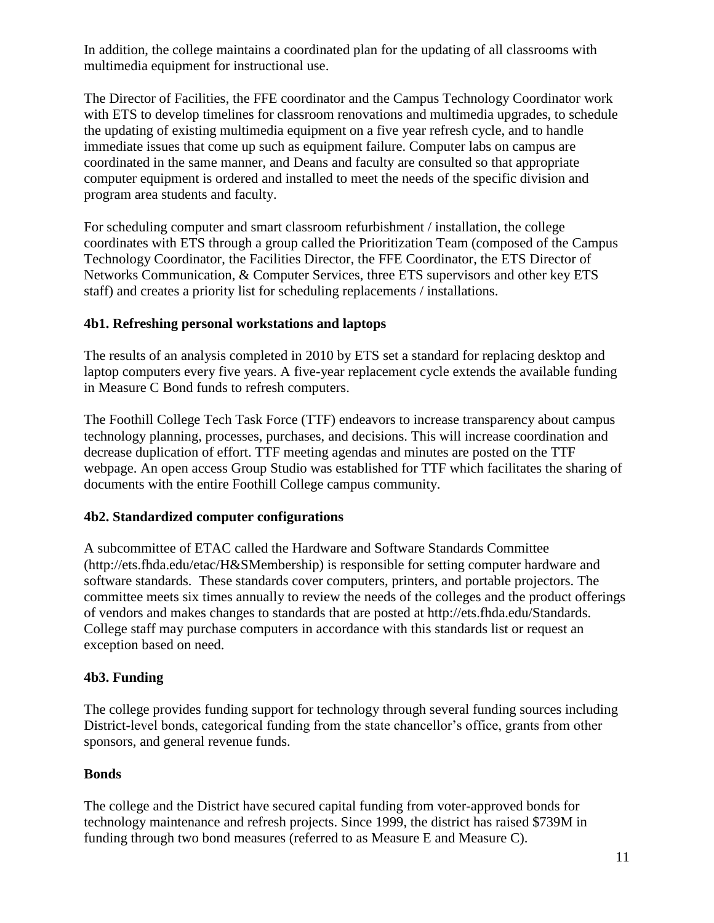In addition, the college maintains a coordinated plan for the updating of all classrooms with multimedia equipment for instructional use.

The Director of Facilities, the FFE coordinator and the Campus Technology Coordinator work with ETS to develop timelines for classroom renovations and multimedia upgrades, to schedule the updating of existing multimedia equipment on a five year refresh cycle, and to handle immediate issues that come up such as equipment failure. Computer labs on campus are coordinated in the same manner, and Deans and faculty are consulted so that appropriate computer equipment is ordered and installed to meet the needs of the specific division and program area students and faculty.

For scheduling computer and smart classroom refurbishment / installation, the college coordinates with ETS through a group called the Prioritization Team (composed of the Campus Technology Coordinator, the Facilities Director, the FFE Coordinator, the ETS Director of Networks Communication, & Computer Services, three ETS supervisors and other key ETS staff) and creates a priority list for scheduling replacements / installations.

### **4b1. Refreshing personal workstations and laptops**

The results of an analysis completed in 2010 by ETS set a standard for replacing desktop and laptop computers every five years. A five-year replacement cycle extends the available funding in Measure C Bond funds to refresh computers.

The Foothill College Tech Task Force (TTF) endeavors to increase transparency about campus technology planning, processes, purchases, and decisions. This will increase coordination and decrease duplication of effort. TTF meeting agendas and minutes are posted on the TTF webpage. An open access Group Studio was established for TTF which facilitates the sharing of documents with the entire Foothill College campus community.

### **4b2. Standardized computer configurations**

A subcommittee of ETAC called the Hardware and Software Standards Committee (http://ets.fhda.edu/etac/H&SMembership) is responsible for setting computer hardware and software standards. These standards cover computers, printers, and portable projectors. The committee meets six times annually to review the needs of the colleges and the product offerings of vendors and makes changes to standards that are posted at http://ets.fhda.edu/Standards. College staff may purchase computers in accordance with this standards list or request an exception based on need.

#### **4b3. Funding**

The college provides funding support for technology through several funding sources including District-level bonds, categorical funding from the state chancellor's office, grants from other sponsors, and general revenue funds.

#### **Bonds**

The college and the District have secured capital funding from voter-approved bonds for technology maintenance and refresh projects. Since 1999, the district has raised \$739M in funding through two bond measures (referred to as Measure E and Measure C).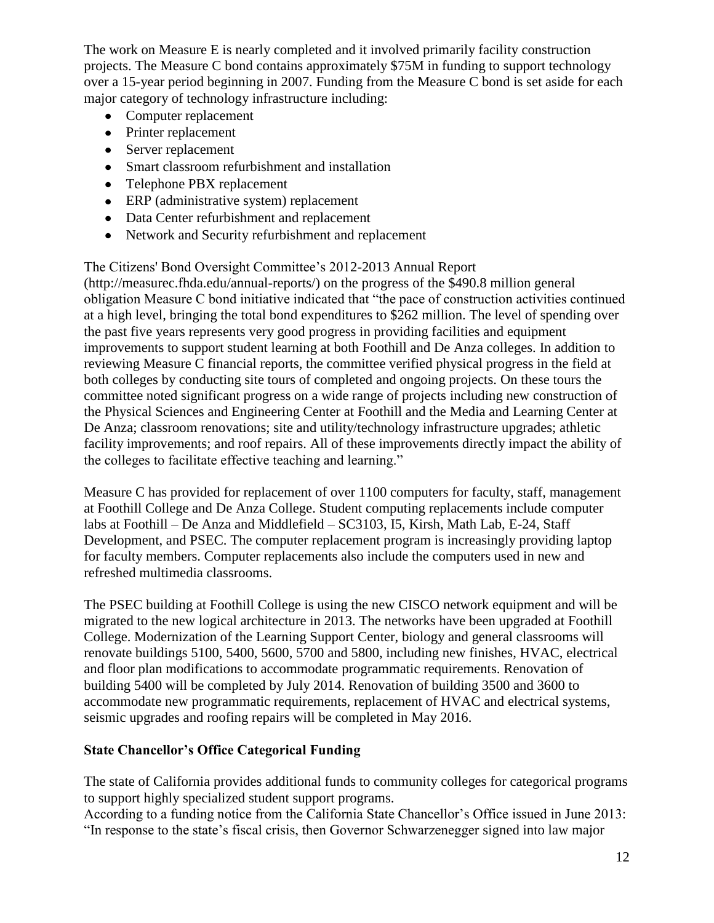The work on Measure E is nearly completed and it involved primarily facility construction projects. The Measure C bond contains approximately \$75M in funding to support technology over a 15-year period beginning in 2007. Funding from the Measure C bond is set aside for each major category of technology infrastructure including:

- Computer replacement
- Printer replacement
- Server replacement
- Smart classroom refurbishment and installation
- Telephone PBX replacement
- ERP (administrative system) replacement
- Data Center refurbishment and replacement
- Network and Security refurbishment and replacement

The Citizens' Bond Oversight Committee's 2012-2013 Annual Report

(http://measurec.fhda.edu/annual-reports/) on the progress of the \$490.8 million general obligation Measure C bond initiative indicated that "the pace of construction activities continued at a high level, bringing the total bond expenditures to \$262 million. The level of spending over the past five years represents very good progress in providing facilities and equipment improvements to support student learning at both Foothill and De Anza colleges. In addition to reviewing Measure C financial reports, the committee verified physical progress in the field at both colleges by conducting site tours of completed and ongoing projects. On these tours the committee noted significant progress on a wide range of projects including new construction of the Physical Sciences and Engineering Center at Foothill and the Media and Learning Center at De Anza; classroom renovations; site and utility/technology infrastructure upgrades; athletic facility improvements; and roof repairs. All of these improvements directly impact the ability of the colleges to facilitate effective teaching and learning."

Measure C has provided for replacement of over 1100 computers for faculty, staff, management at Foothill College and De Anza College. Student computing replacements include computer labs at Foothill – De Anza and Middlefield – SC3103, I5, Kirsh, Math Lab, E-24, Staff Development, and PSEC. The computer replacement program is increasingly providing laptop for faculty members. Computer replacements also include the computers used in new and refreshed multimedia classrooms.

The PSEC building at Foothill College is using the new CISCO network equipment and will be migrated to the new logical architecture in 2013. The networks have been upgraded at Foothill College. Modernization of the Learning Support Center, biology and general classrooms will renovate buildings 5100, 5400, 5600, 5700 and 5800, including new finishes, HVAC, electrical and floor plan modifications to accommodate programmatic requirements. Renovation of building 5400 will be completed by July 2014. Renovation of building 3500 and 3600 to accommodate new programmatic requirements, replacement of HVAC and electrical systems, seismic upgrades and roofing repairs will be completed in May 2016.

### **State Chancellor's Office Categorical Funding**

The state of California provides additional funds to community colleges for categorical programs to support highly specialized student support programs.

According to a funding notice from the California State Chancellor's Office issued in June 2013: "In response to the state's fiscal crisis, then Governor Schwarzenegger signed into law major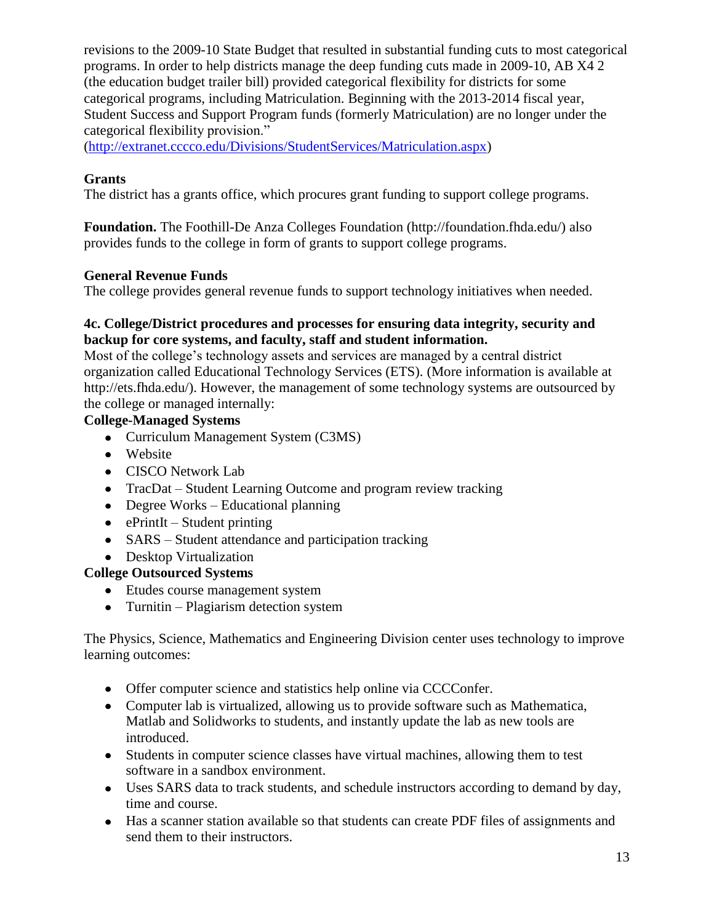revisions to the 2009-10 State Budget that resulted in substantial funding cuts to most categorical programs. In order to help districts manage the deep funding cuts made in 2009-10, AB X4 2 (the education budget trailer bill) provided categorical flexibility for districts for some categorical programs, including Matriculation. Beginning with the 2013-2014 fiscal year, Student Success and Support Program funds (formerly Matriculation) are no longer under the categorical flexibility provision."

[\(http://extranet.cccco.edu/Divisions/StudentServices/Matriculation.aspx\)](http://extranet.cccco.edu/Divisions/StudentServices/Matriculation.aspx)

# **Grants**

The district has a grants office, which procures grant funding to support college programs.

**Foundation.** The Foothill-De Anza Colleges Foundation (http://foundation.fhda.edu/) also provides funds to the college in form of grants to support college programs.

# **General Revenue Funds**

The college provides general revenue funds to support technology initiatives when needed.

### **4c. College/District procedures and processes for ensuring data integrity, security and backup for core systems, and faculty, staff and student information.**

Most of the college's technology assets and services are managed by a central district organization called Educational Technology Services (ETS). (More information is available at http://ets.fhda.edu/). However, the management of some technology systems are outsourced by the college or managed internally:

# **College-Managed Systems**

- Curriculum Management System (C3MS)
- Website
- CISCO Network Lab
- TracDat Student Learning Outcome and program review tracking
- Degree Works Educational planning
- $\bullet$  ePrintIt Student printing
- SARS Student attendance and participation tracking

# • Desktop Virtualization

# **College Outsourced Systems**

- Etudes course management system
- Turnitin Plagiarism detection system

The Physics, Science, Mathematics and Engineering Division center uses technology to improve learning outcomes:

- Offer computer science and statistics help online via CCCConfer.
- Computer lab is virtualized, allowing us to provide software such as Mathematica, Matlab and Solidworks to students, and instantly update the lab as new tools are introduced.
- Students in computer science classes have virtual machines, allowing them to test software in a sandbox environment.
- Uses SARS data to track students, and schedule instructors according to demand by day, time and course.
- Has a scanner station available so that students can create PDF files of assignments and send them to their instructors.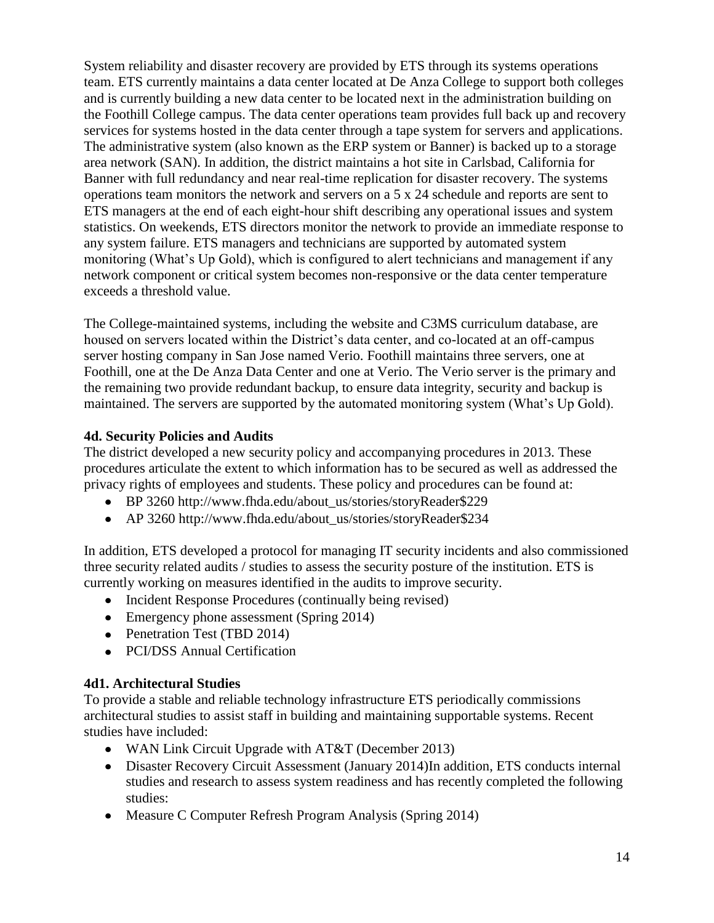System reliability and disaster recovery are provided by ETS through its systems operations team. ETS currently maintains a data center located at De Anza College to support both colleges and is currently building a new data center to be located next in the administration building on the Foothill College campus. The data center operations team provides full back up and recovery services for systems hosted in the data center through a tape system for servers and applications. The administrative system (also known as the ERP system or Banner) is backed up to a storage area network (SAN). In addition, the district maintains a hot site in Carlsbad, California for Banner with full redundancy and near real-time replication for disaster recovery. The systems operations team monitors the network and servers on a 5 x 24 schedule and reports are sent to ETS managers at the end of each eight-hour shift describing any operational issues and system statistics. On weekends, ETS directors monitor the network to provide an immediate response to any system failure. ETS managers and technicians are supported by automated system monitoring (What's Up Gold), which is configured to alert technicians and management if any network component or critical system becomes non-responsive or the data center temperature exceeds a threshold value.

The College-maintained systems, including the website and C3MS curriculum database, are housed on servers located within the District's data center, and co-located at an off-campus server hosting company in San Jose named Verio. Foothill maintains three servers, one at Foothill, one at the De Anza Data Center and one at Verio. The Verio server is the primary and the remaining two provide redundant backup, to ensure data integrity, security and backup is maintained. The servers are supported by the automated monitoring system (What's Up Gold).

# **4d. Security Policies and Audits**

The district developed a new security policy and accompanying procedures in 2013. These procedures articulate the extent to which information has to be secured as well as addressed the privacy rights of employees and students. These policy and procedures can be found at:

- BP 3260 http://www.fhda.edu/about\_us/stories/storyReader\$229
- AP 3260 http://www.fhda.edu/about\_us/stories/storyReader\$234

In addition, ETS developed a protocol for managing IT security incidents and also commissioned three security related audits / studies to assess the security posture of the institution. ETS is currently working on measures identified in the audits to improve security.

- Incident Response Procedures (continually being revised)
- Emergency phone assessment (Spring 2014)
- Penetration Test (TBD 2014)
- PCI/DSS Annual Certification

### **4d1. Architectural Studies**

To provide a stable and reliable technology infrastructure ETS periodically commissions architectural studies to assist staff in building and maintaining supportable systems. Recent studies have included:

- WAN Link Circuit Upgrade with AT&T (December 2013)
- Disaster Recovery Circuit Assessment (January 2014)In addition, ETS conducts internal studies and research to assess system readiness and has recently completed the following studies:
- Measure C Computer Refresh Program Analysis (Spring 2014)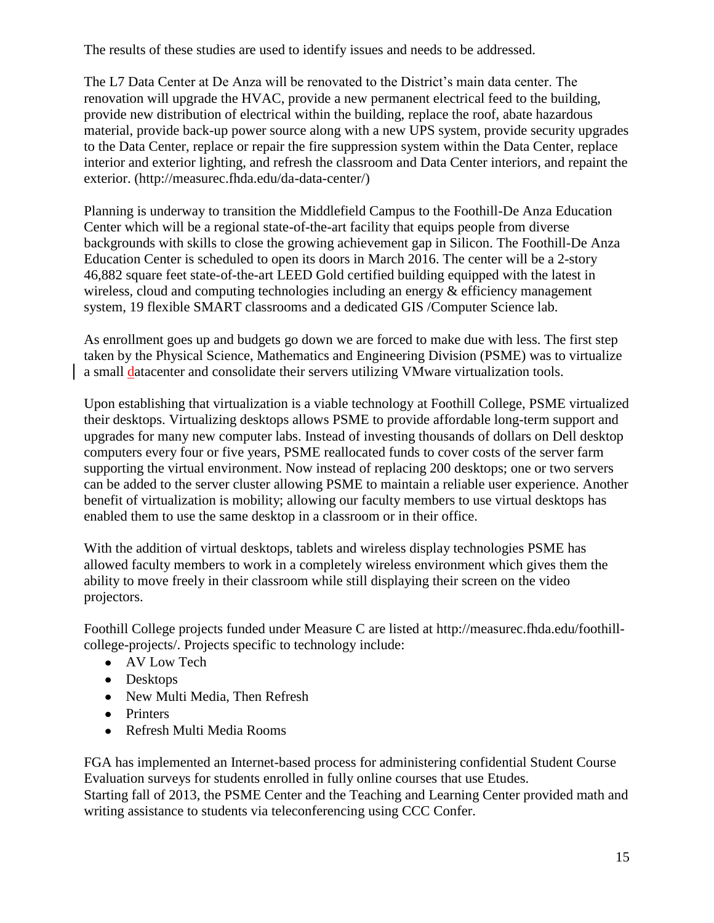The results of these studies are used to identify issues and needs to be addressed.

The L7 Data Center at De Anza will be renovated to the District's main data center. The renovation will upgrade the HVAC, provide a new permanent electrical feed to the building, provide new distribution of electrical within the building, replace the roof, abate hazardous material, provide back-up power source along with a new UPS system, provide security upgrades to the Data Center, replace or repair the fire suppression system within the Data Center, replace interior and exterior lighting, and refresh the classroom and Data Center interiors, and repaint the exterior. (http://measurec.fhda.edu/da-data-center/)

Planning is underway to transition the Middlefield Campus to the Foothill-De Anza Education Center which will be a regional state-of-the-art facility that equips people from diverse backgrounds with skills to close the growing achievement gap in Silicon. The Foothill-De Anza Education Center is scheduled to open its doors in March 2016. The center will be a 2-story 46,882 square feet state-of-the-art LEED Gold certified building equipped with the latest in wireless, cloud and computing technologies including an energy & efficiency management system, 19 flexible SMART classrooms and a dedicated GIS /Computer Science lab.

As enrollment goes up and budgets go down we are forced to make due with less. The first step taken by the Physical Science, Mathematics and Engineering Division (PSME) was to virtualize a small datacenter and consolidate their servers utilizing VMware virtualization tools.

Upon establishing that virtualization is a viable technology at Foothill College, PSME virtualized their desktops. Virtualizing desktops allows PSME to provide affordable long-term support and upgrades for many new computer labs. Instead of investing thousands of dollars on Dell desktop computers every four or five years, PSME reallocated funds to cover costs of the server farm supporting the virtual environment. Now instead of replacing 200 desktops; one or two servers can be added to the server cluster allowing PSME to maintain a reliable user experience. Another benefit of virtualization is mobility; allowing our faculty members to use virtual desktops has enabled them to use the same desktop in a classroom or in their office.

With the addition of virtual desktops, tablets and wireless display technologies PSME has allowed faculty members to work in a completely wireless environment which gives them the ability to move freely in their classroom while still displaying their screen on the video projectors.

Foothill College projects funded under Measure C are listed at http://measurec.fhda.edu/foothillcollege-projects/. Projects specific to technology include:

- AV Low Tech
- Desktops
- New Multi Media, Then Refresh
- Printers
- Refresh Multi Media Rooms

FGA has implemented an Internet-based process for administering confidential Student Course Evaluation surveys for students enrolled in fully online courses that use Etudes.

Starting fall of 2013, the PSME Center and the Teaching and Learning Center provided math and writing assistance to students via teleconferencing using CCC Confer.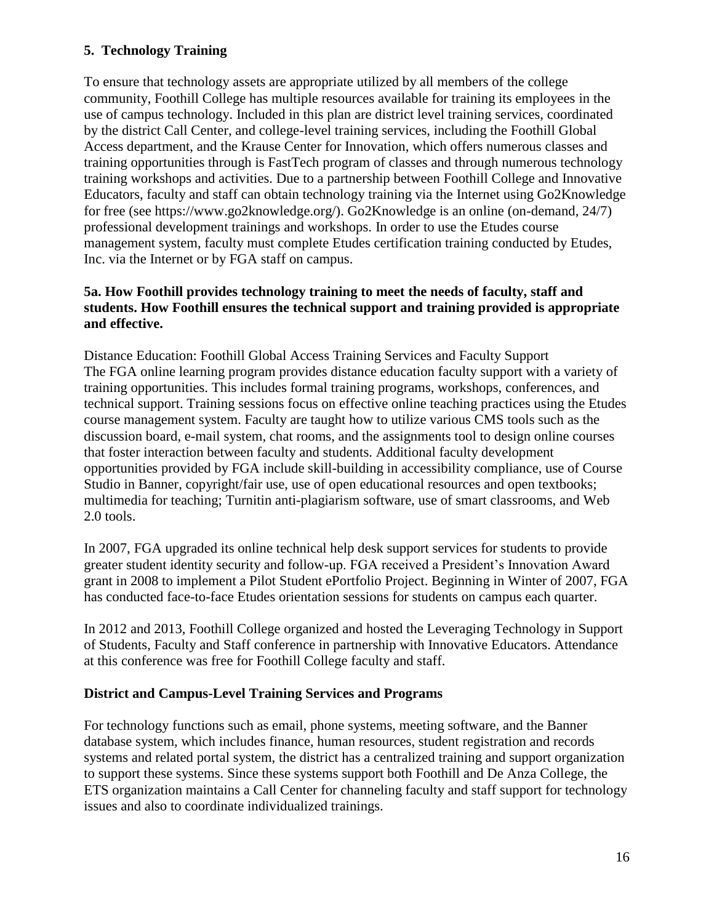# **5. Technology Training**

To ensure that technology assets are appropriate utilized by all members of the college community, Foothill College has multiple resources available for training its employees in the use of campus technology. Included in this plan are district level training services, coordinated by the district Call Center, and college-level training services, including the Foothill Global Access department, and the Krause Center for Innovation, which offers numerous classes and training opportunities through is FastTech program of classes and through numerous technology training workshops and activities. Due to a partnership between Foothill College and Innovative Educators, faculty and staff can obtain technology training via the Internet using Go2Knowledge for free (see https://www.go2knowledge.org/). Go2Knowledge is an online (on-demand, 24/7) professional development trainings and workshops. In order to use the Etudes course management system, faculty must complete Etudes certification training conducted by Etudes, Inc. via the Internet or by FGA staff on campus.

### **5a. How Foothill provides technology training to meet the needs of faculty, staff and students. How Foothill ensures the technical support and training provided is appropriate and effective.**

Distance Education: Foothill Global Access Training Services and Faculty Support The FGA online learning program provides distance education faculty support with a variety of training opportunities. This includes formal training programs, workshops, conferences, and technical support. Training sessions focus on effective online teaching practices using the Etudes course management system. Faculty are taught how to utilize various CMS tools such as the discussion board, e-mail system, chat rooms, and the assignments tool to design online courses that foster interaction between faculty and students. Additional faculty development opportunities provided by FGA include skill-building in accessibility compliance, use of Course Studio in Banner, copyright/fair use, use of open educational resources and open textbooks; multimedia for teaching; Turnitin anti-plagiarism software, use of smart classrooms, and Web 2.0 tools.

In 2007, FGA upgraded its online technical help desk support services for students to provide greater student identity security and follow-up. FGA received a President's Innovation Award grant in 2008 to implement a Pilot Student ePortfolio Project. Beginning in Winter of 2007, FGA has conducted face-to-face Etudes orientation sessions for students on campus each quarter.

In 2012 and 2013, Foothill College organized and hosted the Leveraging Technology in Support of Students, Faculty and Staff conference in partnership with Innovative Educators. Attendance at this conference was free for Foothill College faculty and staff.

### **District and Campus-Level Training Services and Programs**

For technology functions such as email, phone systems, meeting software, and the Banner database system, which includes finance, human resources, student registration and records systems and related portal system, the district has a centralized training and support organization to support these systems. Since these systems support both Foothill and De Anza College, the ETS organization maintains a Call Center for channeling faculty and staff support for technology issues and also to coordinate individualized trainings.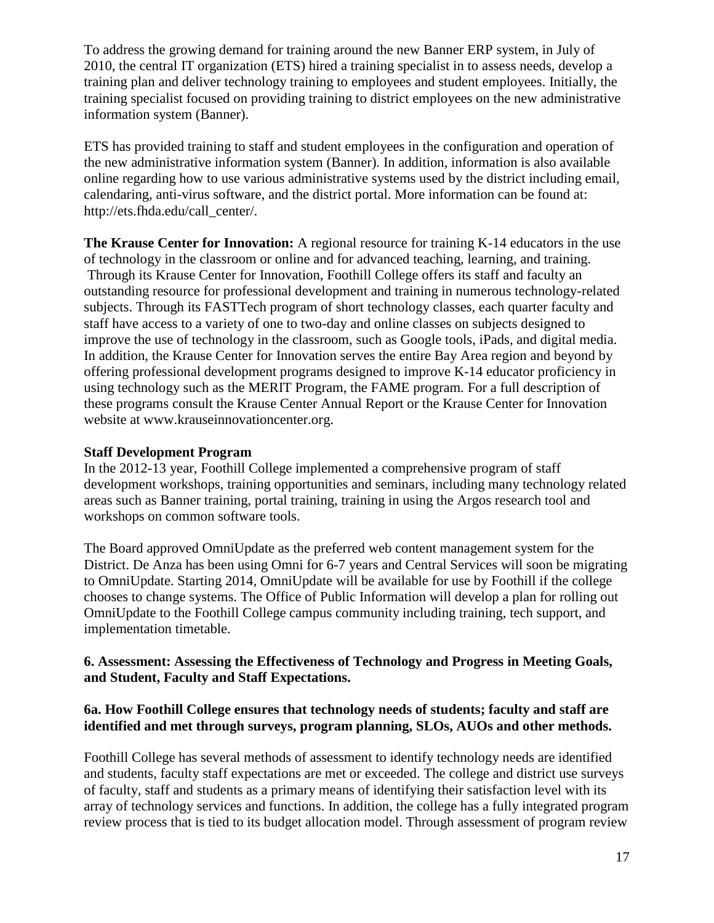To address the growing demand for training around the new Banner ERP system, in July of 2010, the central IT organization (ETS) hired a training specialist in to assess needs, develop a training plan and deliver technology training to employees and student employees. Initially, the training specialist focused on providing training to district employees on the new administrative information system (Banner).

ETS has provided training to staff and student employees in the configuration and operation of the new administrative information system (Banner). In addition, information is also available online regarding how to use various administrative systems used by the district including email, calendaring, anti-virus software, and the district portal. More information can be found at: http://ets.fhda.edu/call\_center/.

**The Krause Center for Innovation:** A regional resource for training K-14 educators in the use of technology in the classroom or online and for advanced teaching, learning, and training. Through its Krause Center for Innovation, Foothill College offers its staff and faculty an outstanding resource for professional development and training in numerous technology-related subjects. Through its FASTTech program of short technology classes, each quarter faculty and staff have access to a variety of one to two-day and online classes on subjects designed to improve the use of technology in the classroom, such as Google tools, iPads, and digital media. In addition, the Krause Center for Innovation serves the entire Bay Area region and beyond by offering professional development programs designed to improve K-14 educator proficiency in using technology such as the MERIT Program, the FAME program. For a full description of these programs consult the Krause Center Annual Report or the Krause Center for Innovation website at www.krauseinnovationcenter.org.

#### **Staff Development Program**

In the 2012-13 year, Foothill College implemented a comprehensive program of staff development workshops, training opportunities and seminars, including many technology related areas such as Banner training, portal training, training in using the Argos research tool and workshops on common software tools.

The Board approved OmniUpdate as the preferred web content management system for the District. De Anza has been using Omni for 6-7 years and Central Services will soon be migrating to OmniUpdate. Starting 2014, OmniUpdate will be available for use by Foothill if the college chooses to change systems. The Office of Public Information will develop a plan for rolling out OmniUpdate to the Foothill College campus community including training, tech support, and implementation timetable.

### **6. Assessment: Assessing the Effectiveness of Technology and Progress in Meeting Goals, and Student, Faculty and Staff Expectations.**

### **6a. How Foothill College ensures that technology needs of students; faculty and staff are identified and met through surveys, program planning, SLOs, AUOs and other methods.**

Foothill College has several methods of assessment to identify technology needs are identified and students, faculty staff expectations are met or exceeded. The college and district use surveys of faculty, staff and students as a primary means of identifying their satisfaction level with its array of technology services and functions. In addition, the college has a fully integrated program review process that is tied to its budget allocation model. Through assessment of program review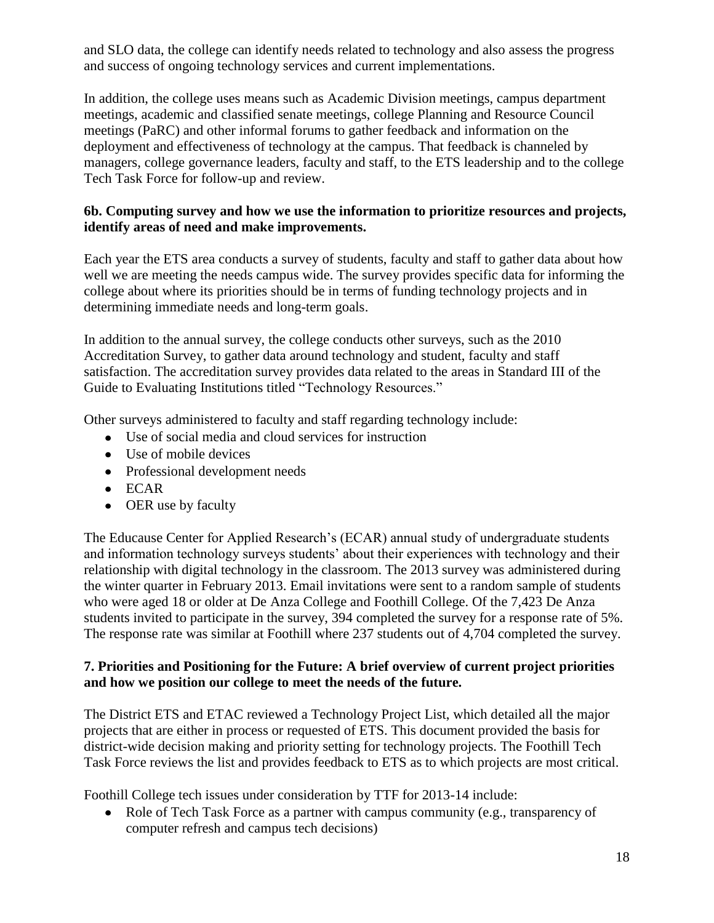and SLO data, the college can identify needs related to technology and also assess the progress and success of ongoing technology services and current implementations.

In addition, the college uses means such as Academic Division meetings, campus department meetings, academic and classified senate meetings, college Planning and Resource Council meetings (PaRC) and other informal forums to gather feedback and information on the deployment and effectiveness of technology at the campus. That feedback is channeled by managers, college governance leaders, faculty and staff, to the ETS leadership and to the college Tech Task Force for follow-up and review.

### **6b. Computing survey and how we use the information to prioritize resources and projects, identify areas of need and make improvements.**

Each year the ETS area conducts a survey of students, faculty and staff to gather data about how well we are meeting the needs campus wide. The survey provides specific data for informing the college about where its priorities should be in terms of funding technology projects and in determining immediate needs and long-term goals.

In addition to the annual survey, the college conducts other surveys, such as the 2010 Accreditation Survey, to gather data around technology and student, faculty and staff satisfaction. The accreditation survey provides data related to the areas in Standard III of the Guide to Evaluating Institutions titled "Technology Resources."

Other surveys administered to faculty and staff regarding technology include:

- Use of social media and cloud services for instruction
- Use of mobile devices
- Professional development needs
- ECAR
- OER use by faculty

The Educause Center for Applied Research's (ECAR) annual study of undergraduate students and information technology surveys students' about their experiences with technology and their relationship with digital technology in the classroom. The 2013 survey was administered during the winter quarter in February 2013. Email invitations were sent to a random sample of students who were aged 18 or older at De Anza College and Foothill College. Of the 7,423 De Anza students invited to participate in the survey, 394 completed the survey for a response rate of 5%. The response rate was similar at Foothill where 237 students out of 4,704 completed the survey.

### **7. Priorities and Positioning for the Future: A brief overview of current project priorities and how we position our college to meet the needs of the future.**

The District ETS and ETAC reviewed a Technology Project List, which detailed all the major projects that are either in process or requested of ETS. This document provided the basis for district-wide decision making and priority setting for technology projects. The Foothill Tech Task Force reviews the list and provides feedback to ETS as to which projects are most critical.

Foothill College tech issues under consideration by TTF for 2013-14 include:

• Role of Tech Task Force as a partner with campus community (e.g., transparency of computer refresh and campus tech decisions)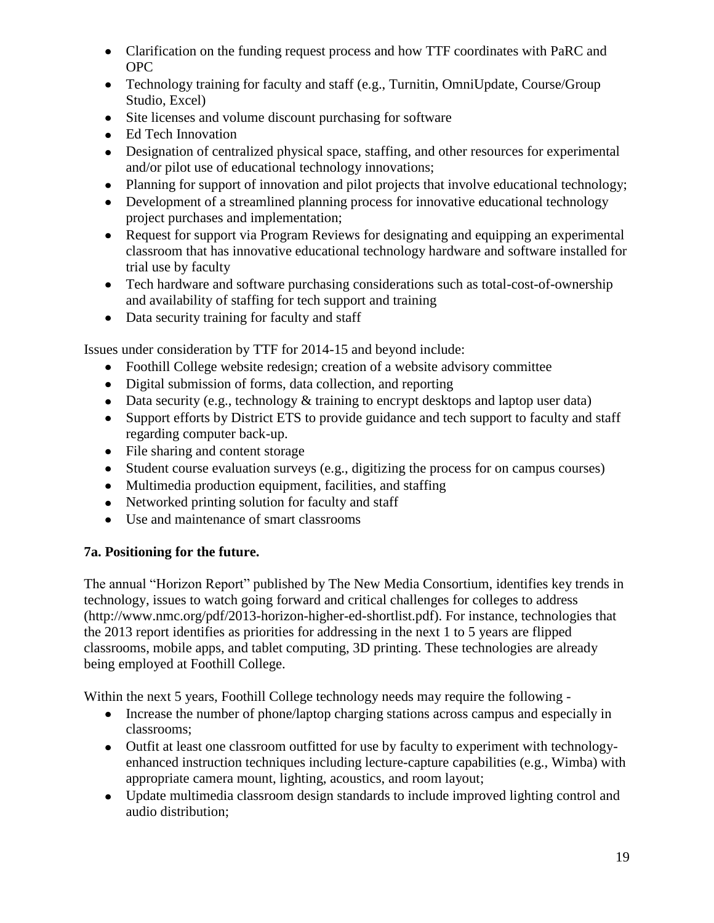- Clarification on the funding request process and how TTF coordinates with PaRC and OPC
- Technology training for faculty and staff (e.g., Turnitin, OmniUpdate, Course/Group Studio, Excel)
- Site licenses and volume discount purchasing for software
- Ed Tech Innovation
- Designation of centralized physical space, staffing, and other resources for experimental and/or pilot use of educational technology innovations;
- Planning for support of innovation and pilot projects that involve educational technology;
- Development of a streamlined planning process for innovative educational technology project purchases and implementation;
- Request for support via Program Reviews for designating and equipping an experimental classroom that has innovative educational technology hardware and software installed for trial use by faculty
- Tech hardware and software purchasing considerations such as total-cost-of-ownership and availability of staffing for tech support and training
- Data security training for faculty and staff

Issues under consideration by TTF for 2014-15 and beyond include:

- Foothill College website redesign; creation of a website advisory committee
- Digital submission of forms, data collection, and reporting
- $\bullet$  Data security (e.g., technology & training to encrypt desktops and laptop user data)
- Support efforts by District ETS to provide guidance and tech support to faculty and staff regarding computer back-up.
- File sharing and content storage
- Student course evaluation surveys (e.g., digitizing the process for on campus courses)
- Multimedia production equipment, facilities, and staffing
- Networked printing solution for faculty and staff
- Use and maintenance of smart classrooms

# **7a. Positioning for the future.**

The annual "Horizon Report" published by The New Media Consortium, identifies key trends in technology, issues to watch going forward and critical challenges for colleges to address (http://www.nmc.org/pdf/2013-horizon-higher-ed-shortlist.pdf). For instance, technologies that the 2013 report identifies as priorities for addressing in the next 1 to 5 years are flipped classrooms, mobile apps, and tablet computing, 3D printing. These technologies are already being employed at Foothill College.

Within the next 5 years, Foothill College technology needs may require the following -

- Increase the number of phone/laptop charging stations across campus and especially in classrooms;
- Outfit at least one classroom outfitted for use by faculty to experiment with technologyenhanced instruction techniques including lecture-capture capabilities (e.g., Wimba) with appropriate camera mount, lighting, acoustics, and room layout;
- Update multimedia classroom design standards to include improved lighting control and audio distribution;